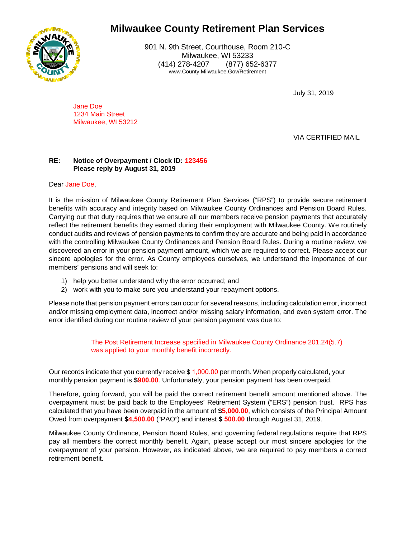

901 N. 9th Street, Courthouse, Room 210-C Milwaukee, WI 53233 (414) 278-4207 (877) 652-6377 www.County.Milwaukee.Gov/Retirement

July 31, 2019

Jane Doe 1234 Main Street Milwaukee, WI 53212

### VIA CERTIFIED MAIL

### **RE: Notice of Overpayment / Clock ID: 123456 Please reply by August 31, 2019**

Dear Jane Doe,

It is the mission of Milwaukee County Retirement Plan Services ("RPS") to provide secure retirement benefits with accuracy and integrity based on Milwaukee County Ordinances and Pension Board Rules. Carrying out that duty requires that we ensure all our members receive pension payments that accurately reflect the retirement benefits they earned during their employment with Milwaukee County. We routinely conduct audits and reviews of pension payments to confirm they are accurate and being paid in accordance with the controlling Milwaukee County Ordinances and Pension Board Rules. During a routine review, we discovered an error in your pension payment amount, which we are required to correct. Please accept our sincere apologies for the error. As County employees ourselves, we understand the importance of our members' pensions and will seek to:

- 1) help you better understand why the error occurred; and
- 2) work with you to make sure you understand your repayment options.

Please note that pension payment errors can occur for several reasons, including calculation error, incorrect and/or missing employment data, incorrect and/or missing salary information, and even system error. The error identified during our routine review of your pension payment was due to:

> The Post Retirement Increase specified in Milwaukee County Ordinance 201.24(5.7) was applied to your monthly benefit incorrectly.

Our records indicate that you currently receive \$ 1,000.00 per month. When properly calculated, your monthly pension payment is **\$900.00**. Unfortunately, your pension payment has been overpaid.

Therefore, going forward, you will be paid the correct retirement benefit amount mentioned above. The overpayment must be paid back to the Employees' Retirement System ("ERS") pension trust. RPS has calculated that you have been overpaid in the amount of **\$5,000.00**, which consists of the Principal Amount Owed from overpayment **\$4,500.00** ("PAO") and interest **\$ 500.00** through August 31, 2019.

Milwaukee County Ordinance, Pension Board Rules, and governing federal regulations require that RPS pay all members the correct monthly benefit. Again, please accept our most sincere apologies for the overpayment of your pension. However, as indicated above, we are required to pay members a correct retirement benefit.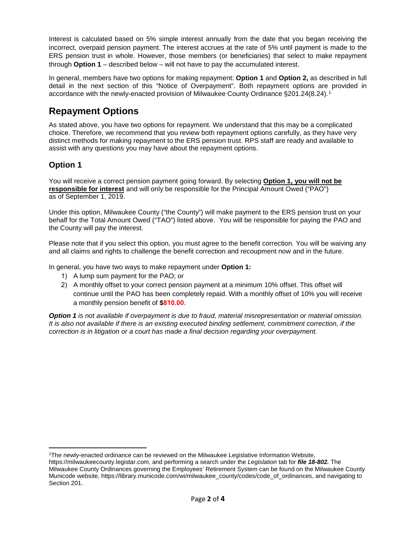Interest is calculated based on 5% simple interest annually from the date that you began receiving the incorrect, overpaid pension payment. The interest accrues at the rate of 5% until payment is made to the ERS pension trust in whole. However, those members (or beneficiaries) that select to make repayment through **Option 1** – described below – will not have to pay the accumulated interest.

In general, members have two options for making repayment: **Option 1** and **Option 2,** as described in full detail in the next section of this "Notice of Overpayment". Both repayment options are provided in accordance with the newly-enacted provision of Milwaukee County Ordinance §201.24(8.24). [1](#page-1-0)

## **Repayment Options**

As stated above, you have two options for repayment. We understand that this may be a complicated choice. Therefore, we recommend that you review both repayment options carefully, as they have very distinct methods for making repayment to the ERS pension trust. RPS staff are ready and available to assist with any questions you may have about the repayment options.

## **Option 1**

You will receive a correct pension payment going forward. By selecting **Option 1, you will not be responsible for interest** and will only be responsible for the Principal Amount Owed ("PAO") as of September 1, 2019.

Under this option, Milwaukee County ("the County") will make payment to the ERS pension trust on your behalf for the Total Amount Owed ("TAO") listed above. You will be responsible for paying the PAO and the County will pay the interest.

Please note that if you select this option, you must agree to the benefit correction. You will be waiving any and all claims and rights to challenge the benefit correction and recoupment now and in the future.

In general, you have two ways to make repayment under **Option 1:**

- 1) A lump sum payment for the PAO; or
- 2) A monthly offset to your correct pension payment at a minimum 10% offset. This offset will continue until the PAO has been completely repaid. With a monthly offset of 10% you will receive a monthly pension benefit of **\$810.00**.

*Option 1 is not available if overpayment is due to fraud, material misrepresentation or material omission. It is also not available if there is an existing executed binding settlement, commitment correction, if the correction is in litigation or a court has made a final decision regarding your overpayment.* 

<span id="page-1-0"></span><sup>1</sup>The newly-enacted ordinance can be reviewed on the Milwaukee Legislative Information Website,

https://milwaukeecounty.legistar.com, and performing a search under the *Legislation* tab for *file 18-802.* The Milwaukee County Ordinances governing the Employees' Retirement System can be found on the Milwaukee County Municode website, https://library.municode.com/wi/milwaukee\_county/codes/code\_of\_ordinances, and navigating to Section 201.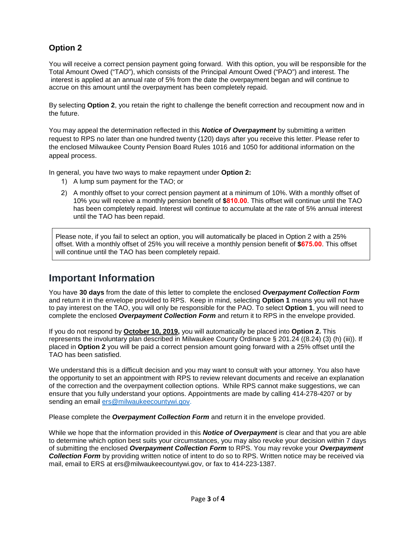## **Option 2**

You will receive a correct pension payment going forward. With this option, you will be responsible for the Total Amount Owed ("TAO"), which consists of the Principal Amount Owed ("PAO") and interest. The interest is applied at an annual rate of 5% from the date the overpayment began and will continue to accrue on this amount until the overpayment has been completely repaid.

By selecting **Option 2**, you retain the right to challenge the benefit correction and recoupment now and in the future.

You may appeal the determination reflected in this *Notice of Overpayment* by submitting a written request to RPS no later than one hundred twenty (120) days after you receive this letter. Please refer to the enclosed Milwaukee County Pension Board Rules 1016 and 1050 for additional information on the appeal process.

In general, you have two ways to make repayment under **Option 2:**

- 1) A lump sum payment for the TAO; or
- 2) A monthly offset to your correct pension payment at a minimum of 10%. With a monthly offset of 10% you will receive a monthly pension benefit of **\$810.00**. This offset will continue until the TAO has been completely repaid. Interest will continue to accumulate at the rate of 5% annual interest until the TAO has been repaid.

Please note, if you fail to select an option, you will automatically be placed in Option 2 with a 25% offset. With a monthly offset of 25% you will receive a monthly pension benefit of **\$675.00**. This offset will continue until the TAO has been completely repaid.

## **Important Information**

You have **30 days** from the date of this letter to complete the enclosed *Overpayment Collection Form*  and return it in the envelope provided to RPS. Keep in mind, selecting **Option 1** means you will not have to pay interest on the TAO, you will only be responsible for the PAO. To select **Option 1**, you will need to complete the enclosed *Overpayment Collection Form* and return it to RPS in the envelope provided.

If you do not respond by **October 10, 2019,** you will automatically be placed into **Option 2.** This represents the involuntary plan described in Milwaukee County Ordinance § 201.24 ((8.24) (3) (h) (iii)). If placed in **Option 2** you will be paid a correct pension amount going forward with a 25% offset until the TAO has been satisfied.

We understand this is a difficult decision and you may want to consult with your attorney. You also have the opportunity to set an appointment with RPS to review relevant documents and receive an explanation of the correction and the overpayment collection options. While RPS cannot make suggestions, we can ensure that you fully understand your options. Appointments are made by calling 414-278-4207 or by sending an email [ers@milwaukeecountywi.gov.](mailto:ers@milwaukeecountywi.gov)

Please complete the *Overpayment Collection Form* and return it in the envelope provided.

While we hope that the information provided in this *Notice of Overpayment* is clear and that you are able to determine which option best suits your circumstances, you may also revoke your decision within 7 days of submitting the enclosed *Overpayment Collection Form* to RPS. You may revoke your *Overpayment Collection Form* by providing written notice of intent to do so to RPS. Written notice may be received via mail, email to ERS at ers@milwaukeecountywi.gov, or fax to 414-223-1387.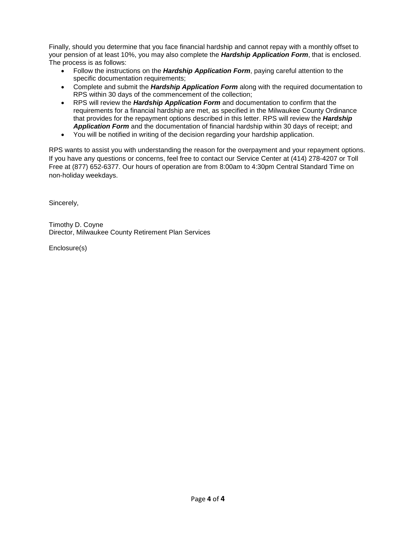Finally, should you determine that you face financial hardship and cannot repay with a monthly offset to your pension of at least 10%, you may also complete the *Hardship Application Form*, that is enclosed. The process is as follows:

- Follow the instructions on the *Hardship Application Form*, paying careful attention to the specific documentation requirements;
- Complete and submit the *Hardship Application Form* along with the required documentation to RPS within 30 days of the commencement of the collection;
- RPS will review the *Hardship Application Form* and documentation to confirm that the requirements for a financial hardship are met, as specified in the Milwaukee County Ordinance that provides for the repayment options described in this letter. RPS will review the *Hardship Application Form* and the documentation of financial hardship within 30 days of receipt; and
- You will be notified in writing of the decision regarding your hardship application.

RPS wants to assist you with understanding the reason for the overpayment and your repayment options. If you have any questions or concerns, feel free to contact our Service Center at (414) 278-4207 or Toll Free at (877) 652-6377. Our hours of operation are from 8:00am to 4:30pm Central Standard Time on non-holiday weekdays.

Sincerely,

Timothy D. Coyne Director, Milwaukee County Retirement Plan Services

Enclosure(s)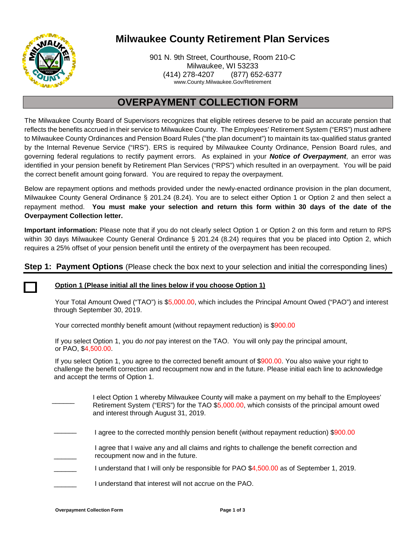

901 N. 9th Street, Courthouse, Room 210-C Milwaukee, WI 53233 (414) 278-4207 (877) 652-6377 www.County.Milwaukee.Gov/Retirement

## **OVERPAYMENT COLLECTION FORM**

The Milwaukee County Board of Supervisors recognizes that eligible retirees deserve to be paid an accurate pension that reflects the benefits accrued in their service to Milwaukee County. The Employees' Retirement System ("ERS") must adhere to Milwaukee County Ordinances and Pension Board Rules ("the plan document") to maintain its tax-qualified status granted by the Internal Revenue Service ("IRS"). ERS is required by Milwaukee County Ordinance, Pension Board rules, and governing federal regulations to rectify payment errors. As explained in your *Notice of Overpayment*, an error was identified in your pension benefit by Retirement Plan Services ("RPS") which resulted in an overpayment. You will be paid the correct benefit amount going forward. You are required to repay the overpayment.

Below are repayment options and methods provided under the newly-enacted ordinance provision in the plan document, Milwaukee County General Ordinance § 201.24 (8.24). You are to select either Option 1 or Option 2 and then select a repayment method. **You must make your selection and return this form within 30 days of the date of the Overpayment Collection letter.**

**Important information:** Please note that if you do not clearly select Option 1 or Option 2 on this form and return to RPS within 30 days Milwaukee County General Ordinance § 201.24 (8.24) requires that you be placed into Option 2, which requires a 25% offset of your pension benefit until the entirety of the overpayment has been recouped.

### **Step 1: Payment Options** (Please check the box next to your selection and initial the corresponding lines)



### **Option 1 (Please initial all the lines below if you choose Option 1)**

Your Total Amount Owed ("TAO") is \$5,000.00, which includes the Principal Amount Owed ("PAO") and interest through September 30, 2019.

Your corrected monthly benefit amount (without repayment reduction) is \$900.00

If you select Option 1, you do *not* pay interest on the TAO. You will only pay the principal amount, or PAO, \$4,500.00.

If you select Option 1, you agree to the corrected benefit amount of \$900.00. You also waive your right to challenge the benefit correction and recoupment now and in the future. Please initial each line to acknowledge and accept the terms of Option 1.

- $\overline{\phantom{a}}$ I elect Option 1 whereby Milwaukee County will make a payment on my behalf to the Employees' Retirement System ("ERS") for the TAO \$5,000.00, which consists of the principal amount owed and interest through August 31, 2019.
- $\overline{\phantom{a}}$ I agree to the corrected monthly pension benefit (without repayment reduction) \$900.00
- $\overline{\phantom{a}}$ I agree that I waive any and all claims and rights to challenge the benefit correction and recoupment now and in the future.
- $\overline{\phantom{a}}$ I understand that I will only be responsible for PAO \$4,500.00 as of September 1, 2019.
- $\overline{\phantom{a}}$ I understand that interest will not accrue on the PAO.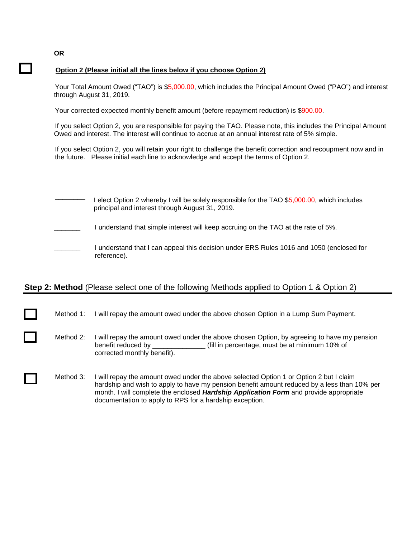### **Option 2 (Please initial all the lines below if you choose Option 2)**

Your Total Amount Owed ("TAO") is \$5,000.00, which includes the Principal Amount Owed ("PAO") and interest through August 31, 2019.

Your corrected expected monthly benefit amount (before repayment reduction) is \$900.00.

If you select Option 2, you are responsible for paying the TAO. Please note, this includes the Principal Amount Owed and interest. The interest will continue to accrue at an annual interest rate of 5% simple.

If you select Option 2, you will retain your right to challenge the benefit correction and recoupment now and in the future. Please initial each line to acknowledge and accept the terms of Option 2.

| l elect Option 2 whereby I will be solely responsible for the TAO \$5,000.00, which includes<br>principal and interest through August 31, 2019. |
|-------------------------------------------------------------------------------------------------------------------------------------------------|
| I understand that simple interest will keep accruing on the TAO at the rate of 5%.                                                              |
| I understand that I can appeal this decision under ERS Rules 1016 and 1050 (enclosed for<br>reference).                                         |

## **Step 2: Method** (Please select one of the following Methods applied to Option 1 & Option 2)

Method 1: I will repay the amount owed under the above chosen Option in a Lump Sum Payment. Method 2: I will repay the amount owed under the above chosen Option, by agreeing to have my pension benefit reduced by \_\_\_\_\_\_\_\_\_\_\_\_\_\_ (fill in percentage, must be at minimum 10% of corrected monthly benefit). Method 3: I will repay the amount owed under the above selected Option 1 or Option 2 but I claim hardship and wish to apply to have my pension benefit amount reduced by a less than 10% per month. I will complete the enclosed *Hardship Application Form* and provide appropriate documentation to apply to RPS for a hardship exception.

**OR**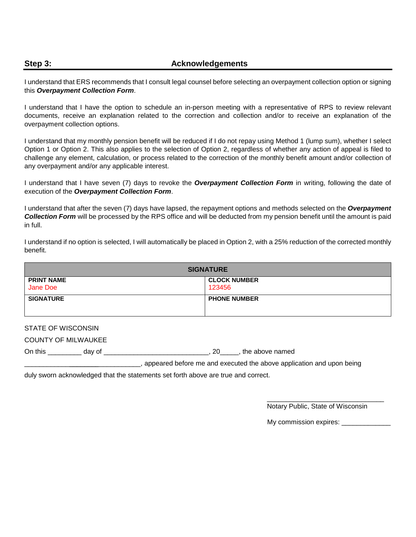### **Step 3:** Acknowledgements

I understand that ERS recommends that I consult legal counsel before selecting an overpayment collection option or signing this *Overpayment Collection Form*.

I understand that I have the option to schedule an in-person meeting with a representative of RPS to review relevant documents, receive an explanation related to the correction and collection and/or to receive an explanation of the overpayment collection options.

I understand that my monthly pension benefit will be reduced if I do not repay using Method 1 (lump sum), whether I select Option 1 or Option 2. This also applies to the selection of Option 2, regardless of whether any action of appeal is filed to challenge any element, calculation, or process related to the correction of the monthly benefit amount and/or collection of any overpayment and/or any applicable interest.

I understand that I have seven (7) days to revoke the *Overpayment Collection Form* in writing, following the date of execution of the *Overpayment Collection Form*.

I understand that after the seven (7) days have lapsed, the repayment options and methods selected on the *Overpayment Collection Form* will be processed by the RPS office and will be deducted from my pension benefit until the amount is paid in full.

I understand if no option is selected, I will automatically be placed in Option 2, with a 25% reduction of the corrected monthly benefit.

| <b>SIGNATURE</b>              |                               |  |  |
|-------------------------------|-------------------------------|--|--|
| <b>PRINT NAME</b><br>Jane Doe | <b>CLOCK NUMBER</b><br>123456 |  |  |
| <b>SIGNATURE</b>              | <b>PHONE NUMBER</b>           |  |  |

STATE OF WISCONSIN

COUNTY OF MILWAUKEE

On this \_\_\_\_\_\_\_\_\_ day of \_\_\_\_\_\_\_\_\_\_\_\_\_\_\_\_\_\_\_\_\_\_\_\_\_\_\_\_, 20\_\_\_\_\_, the above named

. appeared before me and executed the above application and upon being

duly sworn acknowledged that the statements set forth above are true and correct.

 $\overline{\phantom{a}}$  , and the state of the state of the state of the state of the state of the state of the state of the state of the state of the state of the state of the state of the state of the state of the state of the stat Notary Public, State of Wisconsin

My commission expires: \_\_\_\_\_\_\_\_\_\_\_\_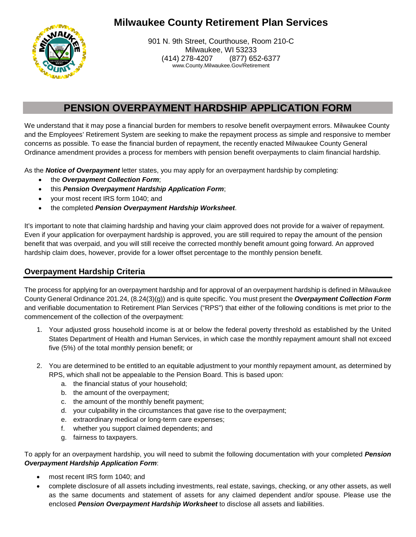

901 N. 9th Street, Courthouse, Room 210-C Milwaukee, WI 53233 (414) 278-4207 (877) 652-6377 www.County.Milwaukee.Gov/Retirement

## **PENSION OVERPAYMENT HARDSHIP APPLICATION FORM**

We understand that it may pose a financial burden for members to resolve benefit overpayment errors. Milwaukee County and the Employees' Retirement System are seeking to make the repayment process as simple and responsive to member concerns as possible. To ease the financial burden of repayment, the recently enacted Milwaukee County General Ordinance amendment provides a process for members with pension benefit overpayments to claim financial hardship.

As the *Notice of Overpayment* letter states, you may apply for an overpayment hardship by completing:

- the *Overpayment Collection Form*;
- this *Pension Overpayment Hardship Application Form*;
- your most recent IRS form 1040; and
- the completed *Pension Overpayment Hardship Worksheet*.

It's important to note that claiming hardship and having your claim approved does not provide for a waiver of repayment. Even if your application for overpayment hardship is approved, you are still required to repay the amount of the pension benefit that was overpaid, and you will still receive the corrected monthly benefit amount going forward. An approved hardship claim does, however, provide for a lower offset percentage to the monthly pension benefit.

## **Overpayment Hardship Criteria**

The process for applying for an overpayment hardship and for approval of an overpayment hardship is defined in Milwaukee County General Ordinance 201.24, (8.24(3)(g)) and is quite specific. You must present the *Overpayment Collection Form* and verifiable documentation to Retirement Plan Services ("RPS") that either of the following conditions is met prior to the commencement of the collection of the overpayment:

- 1. Your adjusted gross household income is at or below the federal poverty threshold as established by the United States Department of Health and Human Services, in which case the monthly repayment amount shall not exceed five (5%) of the total monthly pension benefit; or
- 2. You are determined to be entitled to an equitable adjustment to your monthly repayment amount, as determined by RPS, which shall not be appealable to the Pension Board. This is based upon:
	- a. the financial status of your household;
	- b. the amount of the overpayment;
	- c. the amount of the monthly benefit payment;
	- d. your culpability in the circumstances that gave rise to the overpayment;
	- e. extraordinary medical or long-term care expenses;
	- f. whether you support claimed dependents; and
	- g. fairness to taxpayers.

To apply for an overpayment hardship, you will need to submit the following documentation with your completed *Pension Overpayment Hardship Application Form*:

- most recent IRS form 1040; and
- complete disclosure of all assets including investments, real estate, savings, checking, or any other assets, as well as the same documents and statement of assets for any claimed dependent and/or spouse. Please use the enclosed *Pension Overpayment Hardship Worksheet* to disclose all assets and liabilities.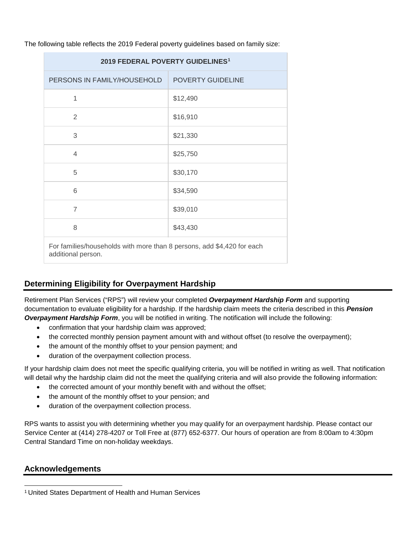| 2019 FEDERAL POVERTY GUIDELINES <sup>1</sup>                           |                   |  |  |
|------------------------------------------------------------------------|-------------------|--|--|
| PERSONS IN FAMILY/HOUSEHOLD                                            | POVERTY GUIDELINE |  |  |
| 1                                                                      | \$12,490          |  |  |
| 2                                                                      | \$16,910          |  |  |
| 3                                                                      | \$21,330          |  |  |
| 4                                                                      | \$25,750          |  |  |
| 5                                                                      | \$30,170          |  |  |
| 6                                                                      | \$34,590          |  |  |
| $\overline{7}$                                                         | \$39,010          |  |  |
| 8                                                                      | \$43,430          |  |  |
| For families/households with more than 8 persons, add \$4,420 for each |                   |  |  |

The following table reflects the 2019 Federal poverty guidelines based on family size:

For families/households with more than 8 persons, add \$4,420 for each additional person.

## **Determining Eligibility for Overpayment Hardship**

Retirement Plan Services ("RPS") will review your completed *Overpayment Hardship Form* and supporting documentation to evaluate eligibility for a hardship. If the hardship claim meets the criteria described in this *Pension Overpayment Hardship Form*, you will be notified in writing. The notification will include the following:

- confirmation that your hardship claim was approved;
- the corrected monthly pension payment amount with and without offset (to resolve the overpayment);
- the amount of the monthly offset to your pension payment; and
- duration of the overpayment collection process.

If your hardship claim does not meet the specific qualifying criteria, you will be notified in writing as well. That notification will detail why the hardship claim did not the meet the qualifying criteria and will also provide the following information:

- the corrected amount of your monthly benefit with and without the offset;
- the amount of the monthly offset to your pension; and
- duration of the overpayment collection process.

RPS wants to assist you with determining whether you may qualify for an overpayment hardship. Please contact our Service Center at (414) 278-4207 or Toll Free at (877) 652-6377. Our hours of operation are from 8:00am to 4:30pm Central Standard Time on non-holiday weekdays.

### **Acknowledgements**

<span id="page-8-0"></span><sup>1</sup> United States Department of Health and Human Services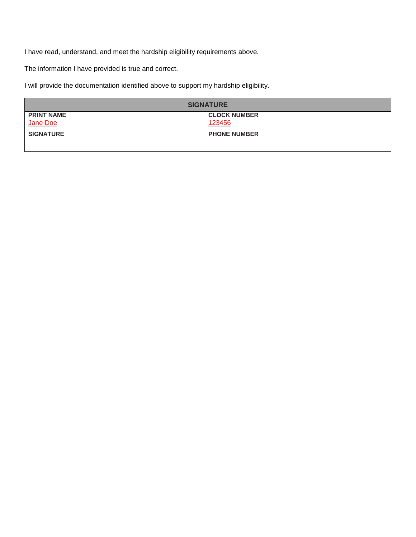I have read, understand, and meet the hardship eligibility requirements above.

The information I have provided is true and correct.

I will provide the documentation identified above to support my hardship eligibility.

| <b>SIGNATURE</b>  |                     |
|-------------------|---------------------|
| <b>PRINT NAME</b> | <b>CLOCK NUMBER</b> |
| Jane Doe          | 123456              |
| <b>SIGNATURE</b>  | <b>PHONE NUMBER</b> |
|                   |                     |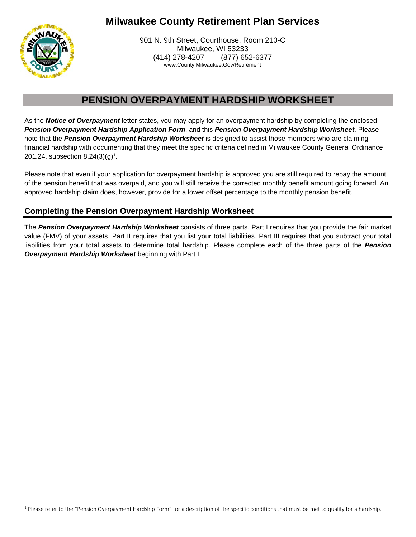

901 N. 9th Street, Courthouse, Room 210-C Milwaukee, WI 53233 (414) 278-4207 (877) 652-6377 www.County.Milwaukee.Gov/Retirement

# **PENSION OVERPAYMENT HARDSHIP WORKSHEET**

As the *Notice of Overpayment* letter states, you may apply for an overpayment hardship by completing the enclosed *Pension Overpayment Hardship Application Form*, and this *Pension Overpayment Hardship Worksheet*. Please note that the *Pension Overpayment Hardship Worksheet* is designed to assist those members who are claiming financial hardship with documenting that they meet the specific criteria defined in Milwaukee County General Ordinance 201.24, subsection  $8.24(3)(g)^1$ .

Please note that even if your application for overpayment hardship is approved you are still required to repay the amount of the pension benefit that was overpaid, and you will still receive the corrected monthly benefit amount going forward. An approved hardship claim does, however, provide for a lower offset percentage to the monthly pension benefit.

## **Completing the Pension Overpayment Hardship Worksheet**

The *Pension Overpayment Hardship Worksheet* consists of three parts. Part I requires that you provide the fair market value (FMV) of your assets. Part II requires that you list your total liabilities. Part III requires that you subtract your total liabilities from your total assets to determine total hardship. Please complete each of the three parts of the *Pension Overpayment Hardship Worksheet* beginning with Part I.

<sup>&</sup>lt;sup>1</sup> Please refer to the "Pension Overpayment Hardship Form" for a description of the specific conditions that must be met to qualify for a hardship.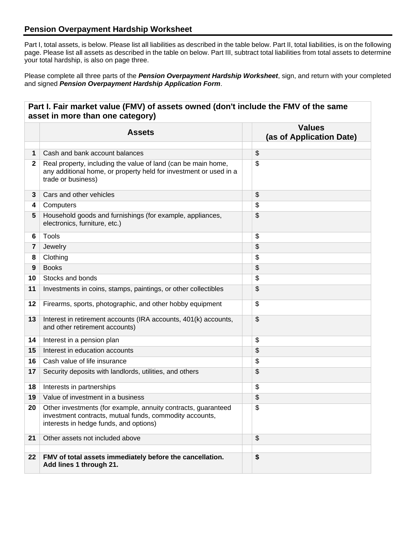## **Pension Overpayment Hardship Worksheet**

Part I, total assets, is below. Please list all liabilities as described in the table below. Part II, total liabilities, is on the following page. Please list all assets as described in the table on below. Part III, subtract total liabilities from total assets to determine your total hardship, is also on page three.

Please complete all three parts of the *Pension Overpayment Hardship Worksheet*, sign, and return with your completed and signed *Pension Overpayment Hardship Application Form*.

**Part I. Fair market value (FMV) of assets owned (don't include the FMV of the same** 

|              | <b>Assets</b>                                                                                                                                                      | <b>Values</b><br>(as of Application Date) |
|--------------|--------------------------------------------------------------------------------------------------------------------------------------------------------------------|-------------------------------------------|
| 1            | Cash and bank account balances                                                                                                                                     | \$                                        |
| $\mathbf{2}$ | Real property, including the value of land (can be main home,<br>any additional home, or property held for investment or used in a<br>trade or business)           | \$                                        |
| 3            | Cars and other vehicles                                                                                                                                            | \$                                        |
| 4            | Computers                                                                                                                                                          | \$                                        |
| 5            | Household goods and furnishings (for example, appliances,<br>electronics, furniture, etc.)                                                                         | \$                                        |
| 6            | Tools                                                                                                                                                              | \$                                        |
| 7            | Jewelry                                                                                                                                                            | \$                                        |
| 8            | Clothing                                                                                                                                                           | \$                                        |
| 9            | <b>Books</b>                                                                                                                                                       | \$                                        |
| 10           | Stocks and bonds                                                                                                                                                   | \$                                        |
| 11           | Investments in coins, stamps, paintings, or other collectibles                                                                                                     | \$                                        |
| 12           | Firearms, sports, photographic, and other hobby equipment                                                                                                          | \$                                        |
| 13           | Interest in retirement accounts (IRA accounts, 401(k) accounts,<br>and other retirement accounts)                                                                  | \$                                        |
| 14           | Interest in a pension plan                                                                                                                                         | \$                                        |
| 15           | Interest in education accounts                                                                                                                                     | \$                                        |
| 16           | Cash value of life insurance                                                                                                                                       | \$                                        |
| 17           | Security deposits with landlords, utilities, and others                                                                                                            | \$                                        |
| 18           | Interests in partnerships                                                                                                                                          | \$                                        |
| 19           | Value of investment in a business                                                                                                                                  | \$                                        |
| 20           | Other investments (for example, annuity contracts, guaranteed<br>investment contracts, mutual funds, commodity accounts,<br>interests in hedge funds, and options) | \$                                        |
| 21           | Other assets not included above                                                                                                                                    | $\frac{1}{2}$                             |
|              |                                                                                                                                                                    |                                           |
| 22           | FMV of total assets immediately before the cancellation.<br>Add lines 1 through 21.                                                                                | \$                                        |